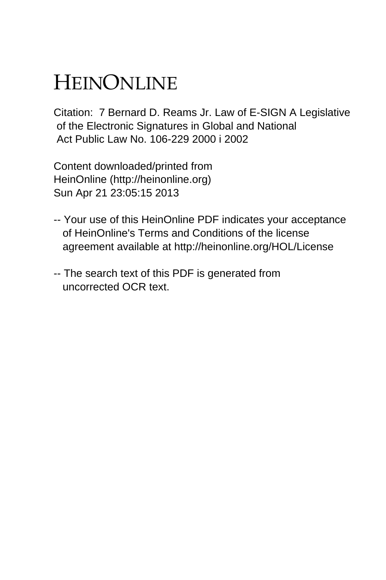## HEINONLINE

Citation: 7 Bernard D. Reams Jr. Law of E-SIGN A Legislative of the Electronic Signatures in Global and National Act Public Law No. 106-229 2000 i 2002

Content downloaded/printed from HeinOnline (http://heinonline.org) Sun Apr 21 23:05:15 2013

- -- Your use of this HeinOnline PDF indicates your acceptance of HeinOnline's Terms and Conditions of the license agreement available at http://heinonline.org/HOL/License
- -- The search text of this PDF is generated from uncorrected OCR text.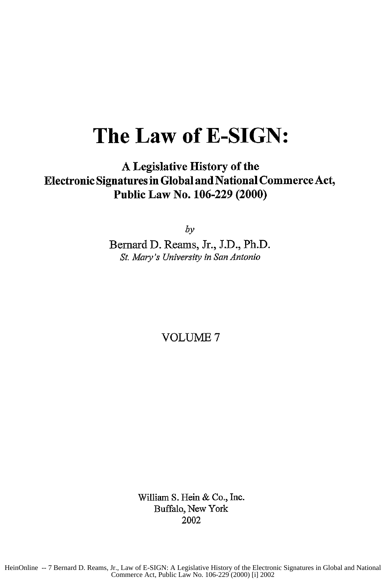## **The Law of E-SIGN:**

## **A** Legislative History of the Electronic Signatures in Global and National Commerce Act, Public Law No. **106-229** (2000)

*by*

Bernard **D.** Reams, Jr., **J.D.,** Ph.D. *St. Mary's University in San Antonio*

VOLUME 7

William S. Hein & Co., Inc. Buffalo, New York 2002

HeinOnline -- 7 Bernard D. Reams, Jr., Law of E-SIGN: A Legislative History of the Electronic Signatures in Global and National Commerce Act, Public Law No. 106-229 (2000) [i] 2002